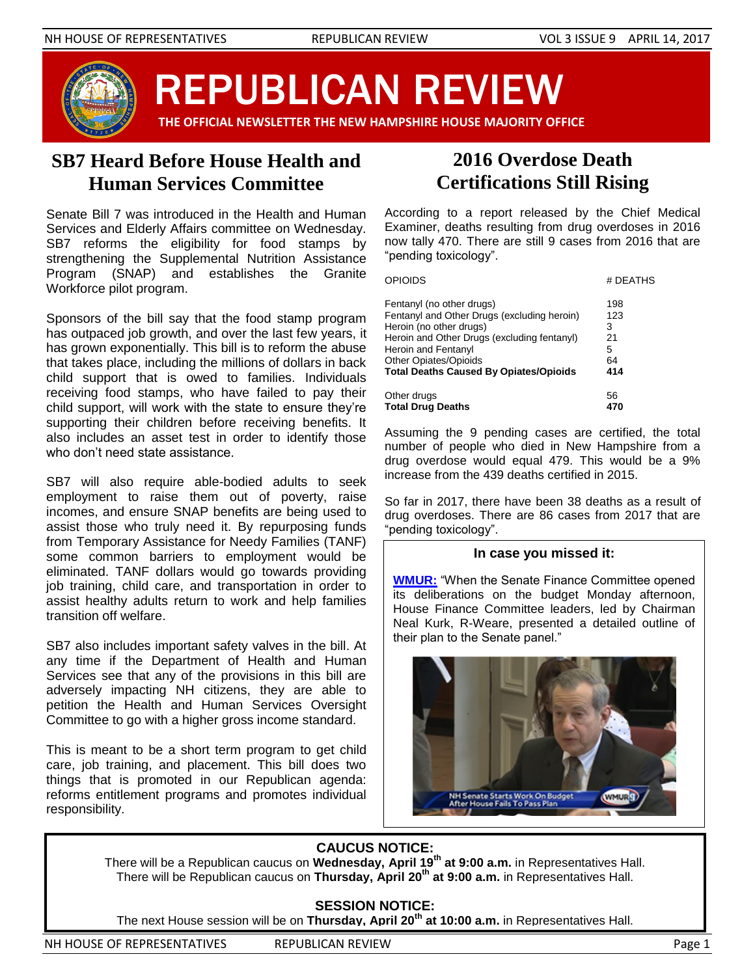

REPUBLICAN REVIEW

 **THE OFFICIAL NEWSLETTER THE NEW HAMPSHIRE HOUSE MAJORITY OFFICE**

## **SB7 Heard Before House Health and Human Services Committee**

Senate Bill 7 was introduced in the Health and Human Services and Elderly Affairs committee on Wednesday. SB7 reforms the eligibility for food stamps by strengthening the Supplemental Nutrition Assistance Program (SNAP) and establishes the Granite Workforce pilot program.

Sponsors of the bill say that the food stamp program has outpaced job growth, and over the last few years, it has grown exponentially. This bill is to reform the abuse that takes place, including the millions of dollars in back child support that is owed to families. Individuals receiving food stamps, who have failed to pay their child support, will work with the state to ensure they're supporting their children before receiving benefits. It also includes an asset test in order to identify those who don't need state assistance.

SB7 will also require able-bodied adults to seek employment to raise them out of poverty, raise incomes, and ensure SNAP benefits are being used to assist those who truly need it. By repurposing funds from Temporary Assistance for Needy Families (TANF) some common barriers to employment would be eliminated. TANF dollars would go towards providing job training, child care, and transportation in order to assist healthy adults return to work and help families transition off welfare.

SB7 also includes important safety valves in the bill. At any time if the Department of Health and Human Services see that any of the provisions in this bill are adversely impacting NH citizens, they are able to petition the Health and Human Services Oversight Committee to go with a higher gross income standard.

This is meant to be a short term program to get child care, job training, and placement. This bill does two things that is promoted in our Republican agenda: reforms entitlement programs and promotes individual responsibility.

## **2016 Overdose Death Certifications Still Rising**

According to a report released by the Chief Medical Examiner, deaths resulting from drug overdoses in 2016 now tally 470. There are still 9 cases from 2016 that are "pending toxicology".

| <b>OPIOIDS</b>                                                           | # DEATHS   |
|--------------------------------------------------------------------------|------------|
| Fentanyl (no other drugs)<br>Fentanyl and Other Drugs (excluding heroin) | 198<br>123 |
| Heroin (no other drugs)                                                  | 3          |
| Heroin and Other Drugs (excluding fentanyl)                              | 21         |
| Heroin and Fentanyl                                                      | 5          |
| <b>Other Opiates/Opioids</b>                                             | 64         |
| <b>Total Deaths Caused By Opiates/Opioids</b>                            | 414        |
| Other drugs                                                              | 56         |
| <b>Total Drug Deaths</b>                                                 | 470        |

Assuming the 9 pending cases are certified, the total number of people who died in New Hampshire from a drug overdose would equal 479. This would be a 9% increase from the 439 deaths certified in 2015.

So far in 2017, there have been 38 deaths as a result of drug overdoses. There are 86 cases from 2017 that are "pending toxicology".

#### **In case you missed it:**

**[WMUR:](http://www.wmur.com/article/state-budget-process-now-turns-to-senate-finance-committee/9255059)** "When the Senate Finance Committee opened its deliberations on the budget Monday afternoon, House Finance Committee leaders, led by Chairman Neal Kurk, R-Weare, presented a detailed outline of their plan to the Senate panel."



### **CAUCUS NOTICE:**

There will be a Republican caucus on **Wednesday, April 19th at 9:00 a.m.** in Representatives Hall. There will be Republican caucus on **Thursday, April 20th at 9:00 a.m.** in Representatives Hall.

#### **SESSION NOTICE:**

The next House session will be on **Thursday, April 20th at 10:00 a.m.** in Representatives Hall.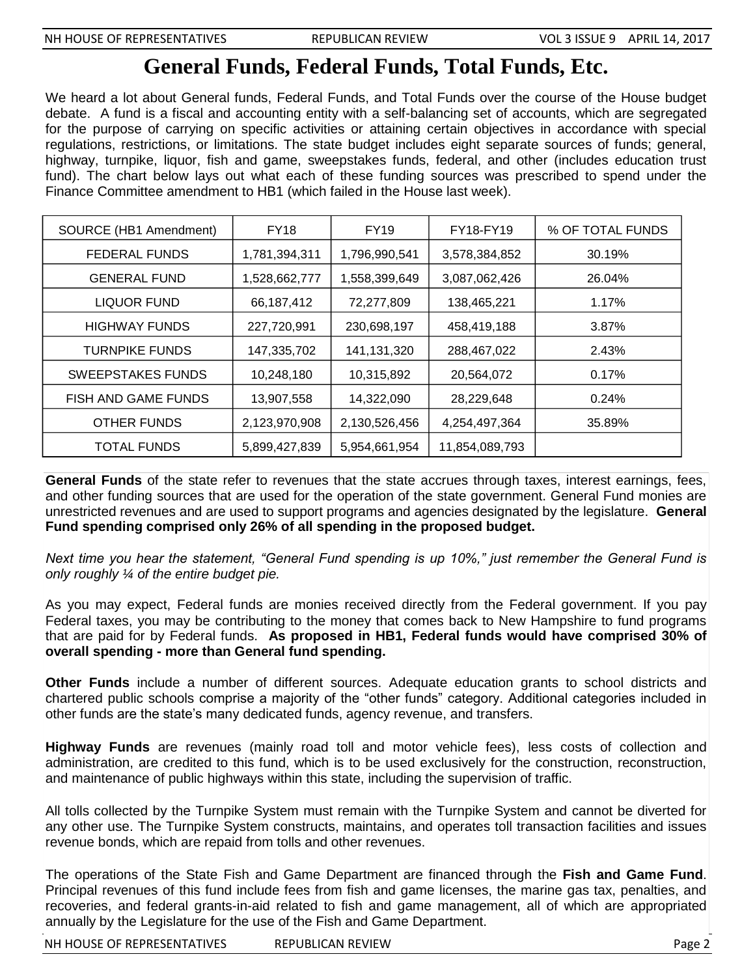# **General Funds, Federal Funds, Total Funds, Etc.**

We heard a lot about General funds, Federal Funds, and Total Funds over the course of the House budget debate. A fund is a fiscal and accounting entity with a self-balancing set of accounts, which are segregated for the purpose of carrying on specific activities or attaining certain objectives in accordance with special regulations, restrictions, or limitations. The state budget includes eight separate sources of funds; general, highway, turnpike, liquor, fish and game, sweepstakes funds, federal, and other (includes education trust fund). The chart below lays out what each of these funding sources was prescribed to spend under the Finance Committee amendment to HB1 (which failed in the House last week).

| SOURCE (HB1 Amendment)   | <b>FY18</b>   | <b>FY19</b>   | FY18-FY19      | % OF TOTAL FUNDS |
|--------------------------|---------------|---------------|----------------|------------------|
| FEDERAL FUNDS            | 1,781,394,311 | 1,796,990,541 | 3,578,384,852  | 30.19%           |
| <b>GENERAL FUND</b>      | 1,528,662,777 | 1,558,399,649 | 3,087,062,426  | 26.04%           |
| <b>LIQUOR FUND</b>       | 66,187,412    | 72,277,809    | 138,465,221    | 1.17%            |
| <b>HIGHWAY FUNDS</b>     | 227,720,991   | 230,698,197   | 458,419,188    | 3.87%            |
| <b>TURNPIKE FUNDS</b>    | 147,335,702   | 141,131,320   | 288,467,022    | 2.43%            |
| <b>SWEEPSTAKES FUNDS</b> | 10,248,180    | 10,315,892    | 20,564,072     | 0.17%            |
| FISH AND GAME FUNDS      | 13,907,558    | 14,322,090    | 28,229,648     | 0.24%            |
| <b>OTHER FUNDS</b>       | 2,123,970,908 | 2,130,526,456 | 4,254,497,364  | 35.89%           |
| TOTAL FUNDS              | 5,899,427,839 | 5,954,661,954 | 11,854,089,793 |                  |

**General Funds** of the state refer to revenues that the state accrues through taxes, interest earnings, fees, and other funding sources that are used for the operation of the state government. General Fund monies are unrestricted revenues and are used to support programs and agencies designated by the legislature. **General Fund spending comprised only 26% of all spending in the proposed budget.**

*Next time you hear the statement, "General Fund spending is up 10%," just remember the General Fund is only roughly ¼ of the entire budget pie.*

As you may expect, Federal funds are monies received directly from the Federal government. If you pay Federal taxes, you may be contributing to the money that comes back to New Hampshire to fund programs that are paid for by Federal funds. **As proposed in HB1, Federal funds would have comprised 30% of overall spending - more than General fund spending.**

**Other Funds** include a number of different sources. Adequate education grants to school districts and chartered public schools comprise a majority of the "other funds" category. Additional categories included in other funds are the state's many dedicated funds, agency revenue, and transfers.

**Highway Funds** are revenues (mainly road toll and motor vehicle fees), less costs of collection and administration, are credited to this fund, which is to be used exclusively for the construction, reconstruction, and maintenance of public highways within this state, including the supervision of traffic.

All tolls collected by the Turnpike System must remain with the Turnpike System and cannot be diverted for any other use. The Turnpike System constructs, maintains, and operates toll transaction facilities and issues revenue bonds, which are repaid from tolls and other revenues.

The operations of the State Fish and Game Department are financed through the **Fish and Game Fund**. Principal revenues of this fund include fees from fish and game licenses, the marine gas tax, penalties, and recoveries, and federal grants-in-aid related to fish and game management, all of which are appropriated annually by the Legislature for the use of the Fish and Game Department.

NH HOUSE OF REPRESENTATIVES REPUBLICAN REVIEW **Example 2** and the contract of the contract of the contract of the contract of the contract of the contract of the contract of the contract of the contract of the contract of